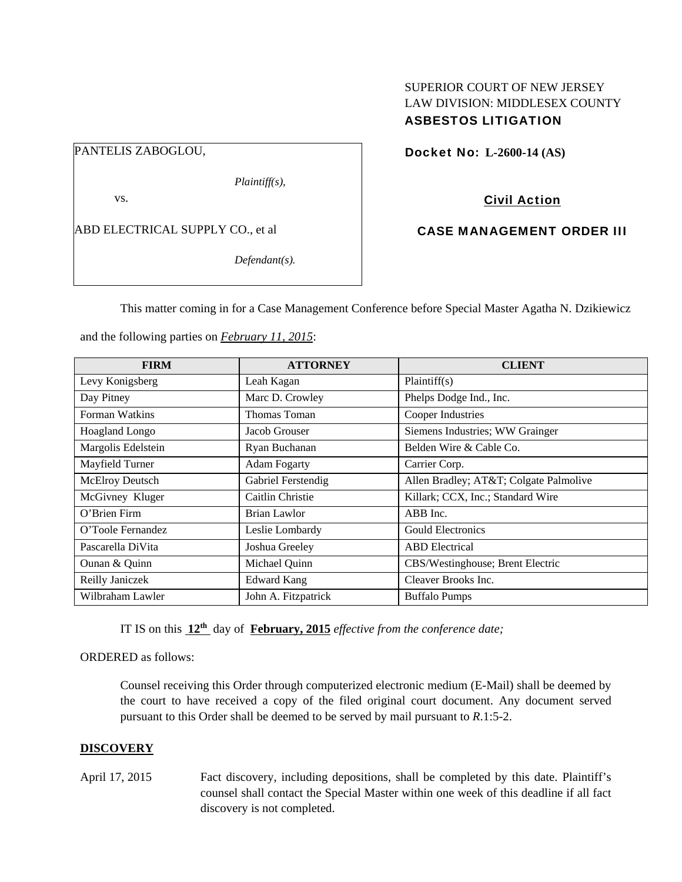# SUPERIOR COURT OF NEW JERSEY LAW DIVISION: MIDDLESEX COUNTY ASBESTOS LITIGATION

PANTELIS ZABOGLOU,

*Plaintiff(s),* 

vs.

ABD ELECTRICAL SUPPLY CO., et al

*Defendant(s).* 

Docket No: **L-2600-14 (AS)** 

# Civil Action

# CASE MANAGEMENT ORDER III

This matter coming in for a Case Management Conference before Special Master Agatha N. Dzikiewicz

and the following parties on *February 11, 2015*:

| <b>FIRM</b>        | <b>ATTORNEY</b>     | <b>CLIENT</b>                         |
|--------------------|---------------------|---------------------------------------|
| Levy Konigsberg    | Leah Kagan          | Plaintiff(s)                          |
| Day Pitney         | Marc D. Crowley     | Phelps Dodge Ind., Inc.               |
| Forman Watkins     | Thomas Toman        | Cooper Industries                     |
| Hoagland Longo     | Jacob Grouser       | Siemens Industries; WW Grainger       |
| Margolis Edelstein | Ryan Buchanan       | Belden Wire & Cable Co.               |
| Mayfield Turner    | <b>Adam Fogarty</b> | Carrier Corp.                         |
| McElroy Deutsch    | Gabriel Ferstendig  | Allen Bradley; AT&T Colgate Palmolive |
| McGivney Kluger    | Caitlin Christie    | Killark; CCX, Inc.; Standard Wire     |
| O'Brien Firm       | <b>Brian Lawlor</b> | ABB Inc.                              |
| O'Toole Fernandez  | Leslie Lombardy     | <b>Gould Electronics</b>              |
| Pascarella DiVita  | Joshua Greeley      | <b>ABD</b> Electrical                 |
| Ounan & Quinn      | Michael Quinn       | CBS/Westinghouse; Brent Electric      |
| Reilly Janiczek    | <b>Edward Kang</b>  | Cleaver Brooks Inc.                   |
| Wilbraham Lawler   | John A. Fitzpatrick | <b>Buffalo Pumps</b>                  |

IT IS on this **12th** day of **February, 2015** *effective from the conference date;*

## ORDERED as follows:

Counsel receiving this Order through computerized electronic medium (E-Mail) shall be deemed by the court to have received a copy of the filed original court document. Any document served pursuant to this Order shall be deemed to be served by mail pursuant to *R*.1:5-2.

# **DISCOVERY**

April 17, 2015 Fact discovery, including depositions, shall be completed by this date. Plaintiff's counsel shall contact the Special Master within one week of this deadline if all fact discovery is not completed.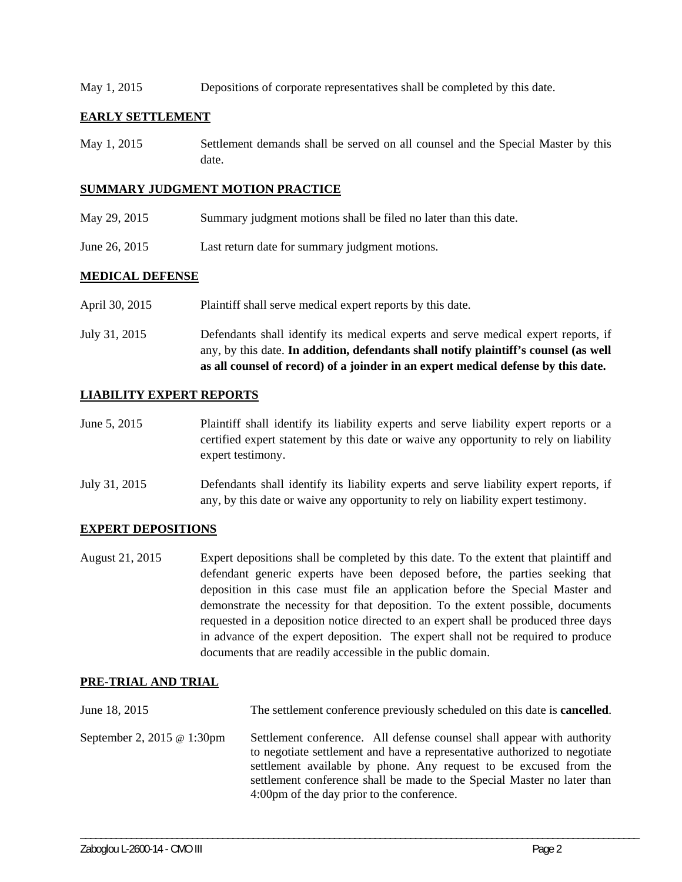May 1, 2015 Depositions of corporate representatives shall be completed by this date.

## **EARLY SETTLEMENT**

May 1, 2015 Settlement demands shall be served on all counsel and the Special Master by this date.

#### **SUMMARY JUDGMENT MOTION PRACTICE**

- May 29, 2015 Summary judgment motions shall be filed no later than this date.
- June 26, 2015 Last return date for summary judgment motions.

## **MEDICAL DEFENSE**

- April 30, 2015 Plaintiff shall serve medical expert reports by this date.
- July 31, 2015 Defendants shall identify its medical experts and serve medical expert reports, if any, by this date. **In addition, defendants shall notify plaintiff's counsel (as well as all counsel of record) of a joinder in an expert medical defense by this date.**

# **LIABILITY EXPERT REPORTS**

- June 5, 2015 Plaintiff shall identify its liability experts and serve liability expert reports or a certified expert statement by this date or waive any opportunity to rely on liability expert testimony.
- July 31, 2015 Defendants shall identify its liability experts and serve liability expert reports, if any, by this date or waive any opportunity to rely on liability expert testimony.

## **EXPERT DEPOSITIONS**

August 21, 2015 Expert depositions shall be completed by this date. To the extent that plaintiff and defendant generic experts have been deposed before, the parties seeking that deposition in this case must file an application before the Special Master and demonstrate the necessity for that deposition. To the extent possible, documents requested in a deposition notice directed to an expert shall be produced three days in advance of the expert deposition. The expert shall not be required to produce documents that are readily accessible in the public domain.

## **PRE-TRIAL AND TRIAL**

| June 18, 2015              | The settlement conference previously scheduled on this date is <b>cancelled</b> .                                                                                                                                                                                                                                                                 |
|----------------------------|---------------------------------------------------------------------------------------------------------------------------------------------------------------------------------------------------------------------------------------------------------------------------------------------------------------------------------------------------|
| September 2, 2015 @ 1:30pm | Settlement conference. All defense counsel shall appear with authority<br>to negotiate settlement and have a representative authorized to negotiate<br>settlement available by phone. Any request to be excused from the<br>settlement conference shall be made to the Special Master no later than<br>4:00pm of the day prior to the conference. |

\_\_\_\_\_\_\_\_\_\_\_\_\_\_\_\_\_\_\_\_\_\_\_\_\_\_\_\_\_\_\_\_\_\_\_\_\_\_\_\_\_\_\_\_\_\_\_\_\_\_\_\_\_\_\_\_\_\_\_\_\_\_\_\_\_\_\_\_\_\_\_\_\_\_\_\_\_\_\_\_\_\_\_\_\_\_\_\_\_\_\_\_\_\_\_\_\_\_\_\_\_\_\_\_\_\_\_\_\_\_